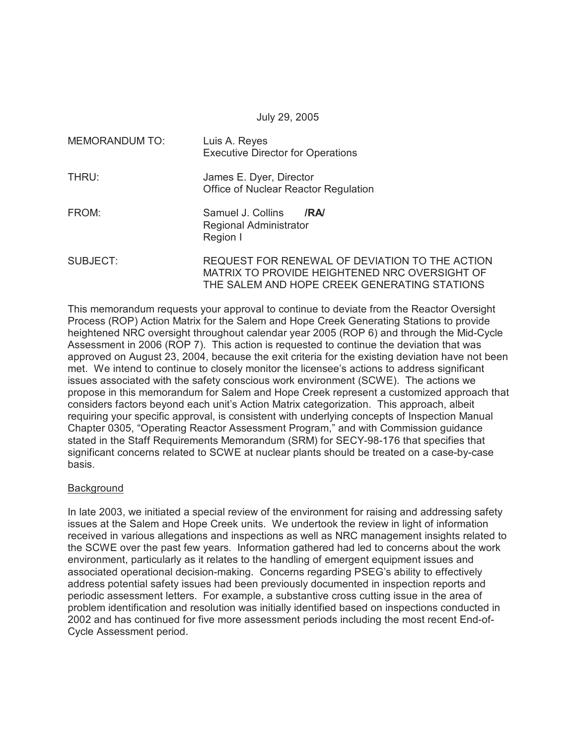July 29, 2005

| MEMORANDUM TO: | Luis A. Reyes<br><b>Executive Director for Operations</b>                                                                                       |
|----------------|-------------------------------------------------------------------------------------------------------------------------------------------------|
| THRU:          | James E. Dyer, Director<br>Office of Nuclear Reactor Regulation                                                                                 |
| FROM:          | Samuel J. Collins<br>/RA<br>Regional Administrator<br>Region I                                                                                  |
| SUBJECT:       | REQUEST FOR RENEWAL OF DEVIATION TO THE ACTION<br>MATRIX TO PROVIDE HEIGHTENED NRC OVERSIGHT OF<br>THE SALEM AND HOPE CREEK GENERATING STATIONS |

This memorandum requests your approval to continue to deviate from the Reactor Oversight Process (ROP) Action Matrix for the Salem and Hope Creek Generating Stations to provide heightened NRC oversight throughout calendar year 2005 (ROP 6) and through the Mid-Cycle Assessment in 2006 (ROP 7). This action is requested to continue the deviation that was approved on August 23, 2004, because the exit criteria for the existing deviation have not been met. We intend to continue to closely monitor the licensee's actions to address significant issues associated with the safety conscious work environment (SCWE). The actions we propose in this memorandum for Salem and Hope Creek represent a customized approach that considers factors beyond each unit's Action Matrix categorization. This approach, albeit requiring your specific approval, is consistent with underlying concepts of Inspection Manual Chapter 0305, "Operating Reactor Assessment Program," and with Commission guidance stated in the Staff Requirements Memorandum (SRM) for SECY-98-176 that specifies that significant concerns related to SCWE at nuclear plants should be treated on a case-by-case basis.

# **Background**

In late 2003, we initiated a special review of the environment for raising and addressing safety issues at the Salem and Hope Creek units. We undertook the review in light of information received in various allegations and inspections as well as NRC management insights related to the SCWE over the past few years. Information gathered had led to concerns about the work environment, particularly as it relates to the handling of emergent equipment issues and associated operational decision-making. Concerns regarding PSEG's ability to effectively address potential safety issues had been previously documented in inspection reports and periodic assessment letters. For example, a substantive cross cutting issue in the area of problem identification and resolution was initially identified based on inspections conducted in 2002 and has continued for five more assessment periods including the most recent End-of-Cycle Assessment period.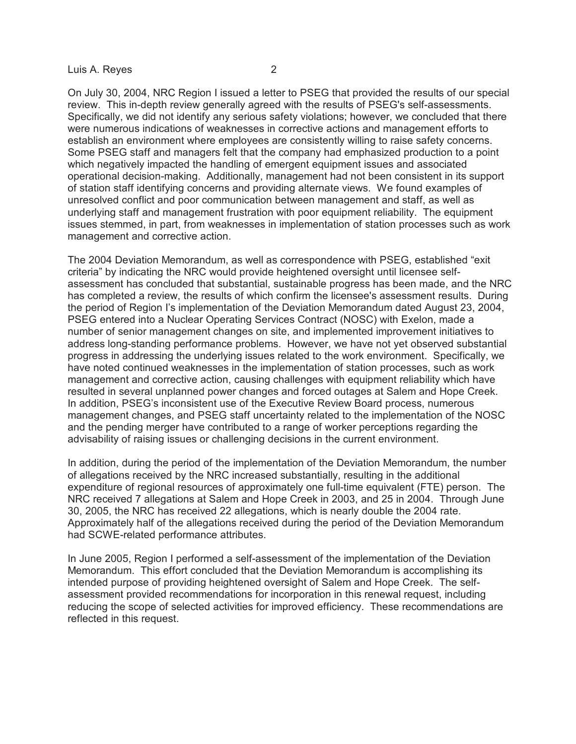On July 30, 2004, NRC Region I issued a letter to PSEG that provided the results of our special review. This in-depth review generally agreed with the results of PSEG's self-assessments. Specifically, we did not identify any serious safety violations; however, we concluded that there were numerous indications of weaknesses in corrective actions and management efforts to establish an environment where employees are consistently willing to raise safety concerns. Some PSEG staff and managers felt that the company had emphasized production to a point which negatively impacted the handling of emergent equipment issues and associated operational decision-making. Additionally, management had not been consistent in its support of station staff identifying concerns and providing alternate views. We found examples of unresolved conflict and poor communication between management and staff, as well as underlying staff and management frustration with poor equipment reliability. The equipment issues stemmed, in part, from weaknesses in implementation of station processes such as work management and corrective action.

The 2004 Deviation Memorandum, as well as correspondence with PSEG, established "exit criteria" by indicating the NRC would provide heightened oversight until licensee selfassessment has concluded that substantial, sustainable progress has been made, and the NRC has completed a review, the results of which confirm the licensee's assessment results. During the period of Region I's implementation of the Deviation Memorandum dated August 23, 2004, PSEG entered into a Nuclear Operating Services Contract (NOSC) with Exelon, made a number of senior management changes on site, and implemented improvement initiatives to address long-standing performance problems. However, we have not yet observed substantial progress in addressing the underlying issues related to the work environment. Specifically, we have noted continued weaknesses in the implementation of station processes, such as work management and corrective action, causing challenges with equipment reliability which have resulted in several unplanned power changes and forced outages at Salem and Hope Creek. In addition, PSEG's inconsistent use of the Executive Review Board process, numerous management changes, and PSEG staff uncertainty related to the implementation of the NOSC and the pending merger have contributed to a range of worker perceptions regarding the advisability of raising issues or challenging decisions in the current environment.

In addition, during the period of the implementation of the Deviation Memorandum, the number of allegations received by the NRC increased substantially, resulting in the additional expenditure of regional resources of approximately one full-time equivalent (FTE) person. The NRC received 7 allegations at Salem and Hope Creek in 2003, and 25 in 2004. Through June 30, 2005, the NRC has received 22 allegations, which is nearly double the 2004 rate. Approximately half of the allegations received during the period of the Deviation Memorandum had SCWE-related performance attributes.

In June 2005, Region I performed a self-assessment of the implementation of the Deviation Memorandum. This effort concluded that the Deviation Memorandum is accomplishing its intended purpose of providing heightened oversight of Salem and Hope Creek. The selfassessment provided recommendations for incorporation in this renewal request, including reducing the scope of selected activities for improved efficiency. These recommendations are reflected in this request.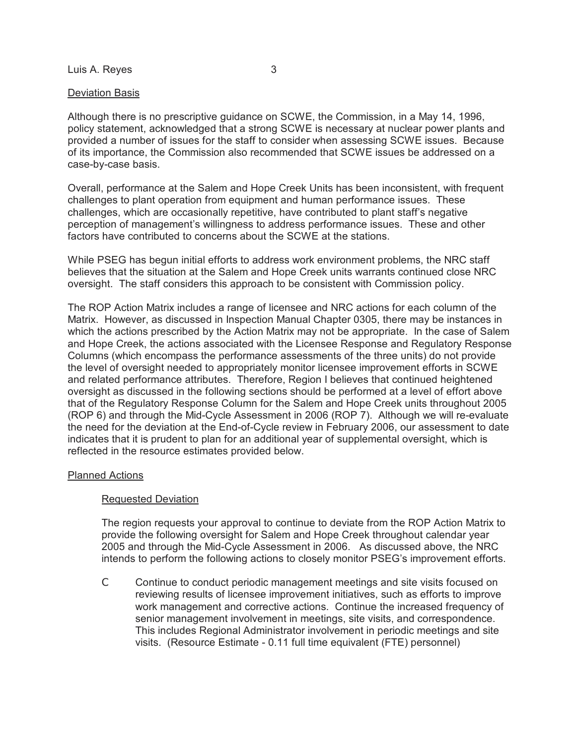## Deviation Basis

Although there is no prescriptive guidance on SCWE, the Commission, in a May 14, 1996, policy statement, acknowledged that a strong SCWE is necessary at nuclear power plants and provided a number of issues for the staff to consider when assessing SCWE issues. Because of its importance, the Commission also recommended that SCWE issues be addressed on a case-by-case basis.

Overall, performance at the Salem and Hope Creek Units has been inconsistent, with frequent challenges to plant operation from equipment and human performance issues. These challenges, which are occasionally repetitive, have contributed to plant staff's negative perception of management's willingness to address performance issues. These and other factors have contributed to concerns about the SCWE at the stations.

While PSEG has begun initial efforts to address work environment problems, the NRC staff believes that the situation at the Salem and Hope Creek units warrants continued close NRC oversight. The staff considers this approach to be consistent with Commission policy.

The ROP Action Matrix includes a range of licensee and NRC actions for each column of the Matrix. However, as discussed in Inspection Manual Chapter 0305, there may be instances in which the actions prescribed by the Action Matrix may not be appropriate. In the case of Salem and Hope Creek, the actions associated with the Licensee Response and Regulatory Response Columns (which encompass the performance assessments of the three units) do not provide the level of oversight needed to appropriately monitor licensee improvement efforts in SCWE and related performance attributes. Therefore, Region I believes that continued heightened oversight as discussed in the following sections should be performed at a level of effort above that of the Regulatory Response Column for the Salem and Hope Creek units throughout 2005 (ROP 6) and through the Mid-Cycle Assessment in 2006 (ROP 7). Although we will re-evaluate the need for the deviation at the End-of-Cycle review in February 2006, our assessment to date indicates that it is prudent to plan for an additional year of supplemental oversight, which is reflected in the resource estimates provided below.

### Planned Actions

# Requested Deviation

The region requests your approval to continue to deviate from the ROP Action Matrix to provide the following oversight for Salem and Hope Creek throughout calendar year 2005 and through the Mid-Cycle Assessment in 2006. As discussed above, the NRC intends to perform the following actions to closely monitor PSEG's improvement efforts.

C Continue to conduct periodic management meetings and site visits focused on reviewing results of licensee improvement initiatives, such as efforts to improve work management and corrective actions. Continue the increased frequency of senior management involvement in meetings, site visits, and correspondence. This includes Regional Administrator involvement in periodic meetings and site visits. (Resource Estimate - 0.11 full time equivalent (FTE) personnel)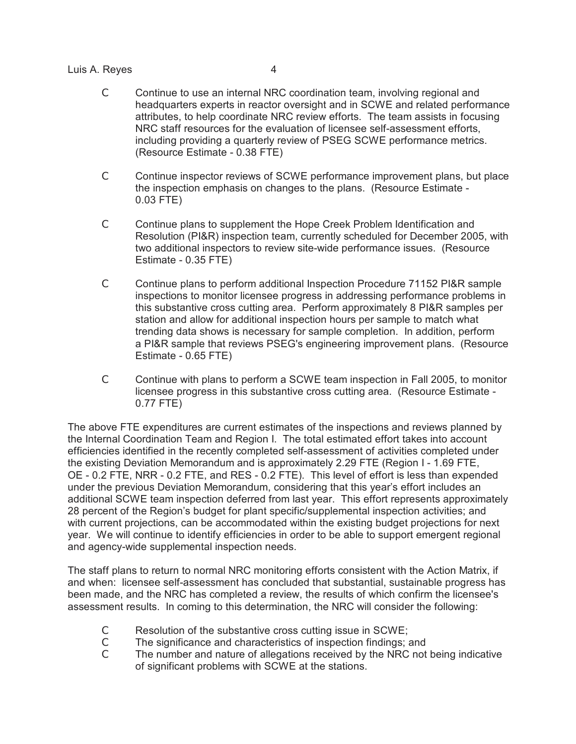- C Continue to use an internal NRC coordination team, involving regional and headquarters experts in reactor oversight and in SCWE and related performance attributes, to help coordinate NRC review efforts. The team assists in focusing NRC staff resources for the evaluation of licensee self-assessment efforts, including providing a quarterly review of PSEG SCWE performance metrics. (Resource Estimate - 0.38 FTE)
- C Continue inspector reviews of SCWE performance improvement plans, but place the inspection emphasis on changes to the plans. (Resource Estimate - 0.03 FTE)
- C Continue plans to supplement the Hope Creek Problem Identification and Resolution (PI&R) inspection team, currently scheduled for December 2005, with two additional inspectors to review site-wide performance issues. (Resource Estimate - 0.35 FTE)
- C Continue plans to perform additional Inspection Procedure 71152 PI&R sample inspections to monitor licensee progress in addressing performance problems in this substantive cross cutting area. Perform approximately 8 PI&R samples per station and allow for additional inspection hours per sample to match what trending data shows is necessary for sample completion. In addition, perform a PI&R sample that reviews PSEG's engineering improvement plans. (Resource Estimate - 0.65 FTE)
- C Continue with plans to perform a SCWE team inspection in Fall 2005, to monitor licensee progress in this substantive cross cutting area. (Resource Estimate - 0.77 FTE)

The above FTE expenditures are current estimates of the inspections and reviews planned by the Internal Coordination Team and Region I. The total estimated effort takes into account efficiencies identified in the recently completed self-assessment of activities completed under the existing Deviation Memorandum and is approximately 2.29 FTE (Region I - 1.69 FTE, OE - 0.2 FTE, NRR - 0.2 FTE, and RES - 0.2 FTE). This level of effort is less than expended under the previous Deviation Memorandum, considering that this year's effort includes an additional SCWE team inspection deferred from last year. This effort represents approximately 28 percent of the Region's budget for plant specific/supplemental inspection activities; and with current projections, can be accommodated within the existing budget projections for next year. We will continue to identify efficiencies in order to be able to support emergent regional and agency-wide supplemental inspection needs.

The staff plans to return to normal NRC monitoring efforts consistent with the Action Matrix, if and when: licensee self-assessment has concluded that substantial, sustainable progress has been made, and the NRC has completed a review, the results of which confirm the licensee's assessment results. In coming to this determination, the NRC will consider the following:

- C Resolution of the substantive cross cutting issue in SCWE;<br>C The significance and characteristics of inspection findings:
- The significance and characteristics of inspection findings; and
- C The number and nature of allegations received by the NRC not being indicative of significant problems with SCWE at the stations.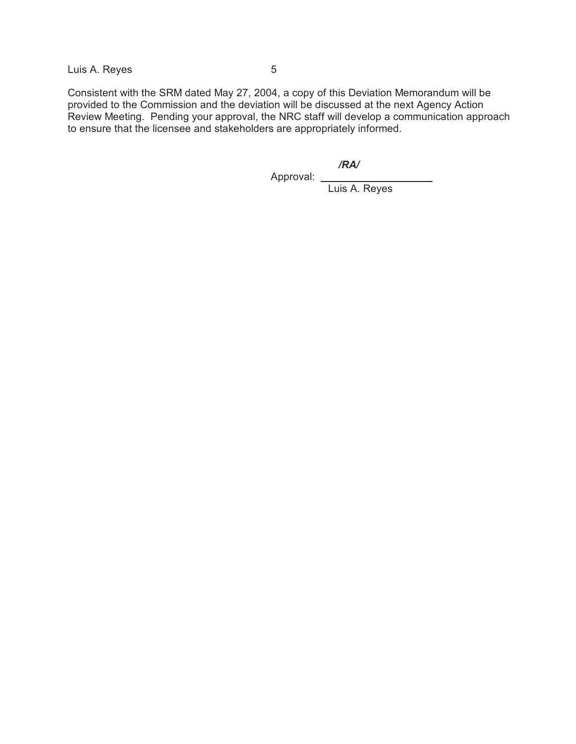Consistent with the SRM dated May 27, 2004, a copy of this Deviation Memorandum will be provided to the Commission and the deviation will be discussed at the next Agency Action Review Meeting. Pending your approval, the NRC staff will develop a communication approach to ensure that the licensee and stakeholders are appropriately informed.

*/RA/*

Approval: \_

Luis A. Reyes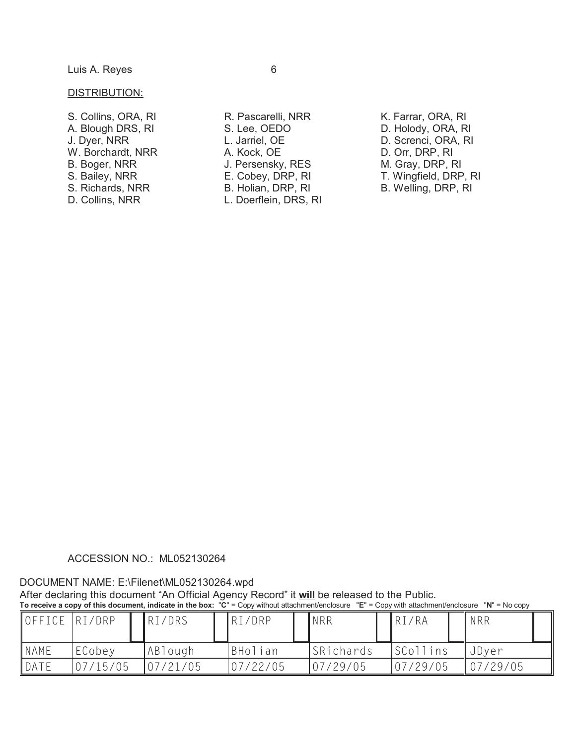#### DISTRIBUTION:

- S. Collins, ORA, RI A. Blough DRS, RI J. Dyer, NRR W. Borchardt, NRR B. Boger, NRR S. Bailey, NRR S. Richards, NRR
- D. Collins, NRR
- R. Pascarelli, NRR S. Lee, OEDO L. Jarriel, OE A. Kock, OE J. Persensky, RES E. Cobey, DRP, RI B. Holian, DRP, RI L. Doerflein, DRS, RI
- K. Farrar, ORA, RI D. Holody, ORA, RI D. Screnci, ORA, RI D. Orr, DRP, RI M. Gray, DRP, RI T. Wingfield, DRP, RI B. Welling, DRP, RI

#### ACCESSION NO.: ML052130264

#### DOCUMENT NAME: E:\Filenet\ML052130264.wpd

After declaring this document "An Official Agency Record" it **will** be released to the Public. **To receive a copy of this document, indicate in the box:** "**C**" = Copy without attachment/enclosure "**E**" = Copy with attachment/enclosure "**N**" = No copy

| OFFICE RI/DRP |          | RI/DRS   | RI/DRP   | <b>NRR</b> | RI/RA     | <b>NRR</b>    |  |
|---------------|----------|----------|----------|------------|-----------|---------------|--|
| <b>NAME</b>   | ECobey   | ABlough  | BHolian  | SRichards  | SCollins  | <b>J</b> Dyer |  |
| DATE          | 07/15/05 | 07/21/05 | 07/22/05 | 07/29/05   | 107/29/05 | 107/29/05     |  |